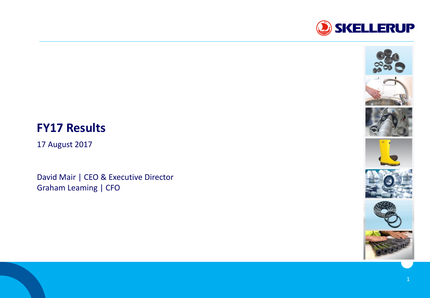



17 August 2017

David Mair | CEO & Executive Director Graham Leaming | CFO





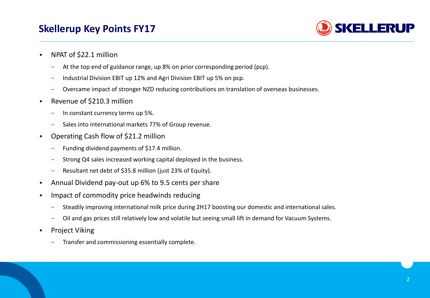# **Skellerup Key Points FY17**



- NPAT of \$22.1 million
	- At the top end of guidance range, up 8% on prior corresponding period (pcp).
	- ‒ Industrial Division EBIT up 12% and Agri Division EBIT up 5% on pcp.
	- ‒ Overcame impact of stronger NZD reducing contributions on translation of overseas businesses.
- Revenue of \$210.3 million
	- In constant currency terms up 5%.
	- Sales into international markets 77% of Group revenue.
- Operating Cash flow of \$21.2 million
	- ‒ Funding dividend payments of \$17.4 million.
	- Strong Q4 sales increased working capital deployed in the business.
	- ‒ Resultant net debt of \$35.8 million (just 23% of Equity).
- Annual Dividend pay-out up 6% to 9.5 cents per share
- Impact of commodity price headwinds reducing
	- ‒ Steadily improving international milk price during 2H17 boosting our domestic and international sales.
	- Oil and gas prices still relatively low and volatile but seeing small lift in demand for Vacuum Systems.
- Project Viking
	- ‒ Transfer and commissioning essentially complete.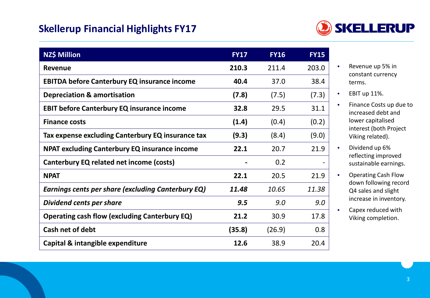# **Skellerup Financial Highlights FY17**



| <b>NZ\$ Million</b>                                       | <b>FY17</b> | <b>FY16</b> | <b>FY15</b> |
|-----------------------------------------------------------|-------------|-------------|-------------|
| <b>Revenue</b>                                            | 210.3       | 211.4       | 203.0       |
| <b>EBITDA before Canterbury EQ insurance income</b>       | 40.4        | 37.0        | 38.4        |
| <b>Depreciation &amp; amortisation</b>                    | (7.8)       | (7.5)       | (7.3)       |
| <b>EBIT before Canterbury EQ insurance income</b>         | 32.8        | 29.5        | 31.1        |
| <b>Finance costs</b>                                      | (1.4)       | (0.4)       | (0.2)       |
| Tax expense excluding Canterbury EQ insurance tax         | (9.3)       | (8.4)       | (9.0)       |
| <b>NPAT excluding Canterbury EQ insurance income</b>      | 22.1        | 20.7        | 21.9        |
| Canterbury EQ related net income (costs)                  |             | 0.2         |             |
| <b>NPAT</b>                                               | 22.1        | 20.5        | 21.9        |
| <b>Earnings cents per share (excluding Canterbury EQ)</b> | 11.48       | 10.65       | 11.38       |
| Dividend cents per share                                  | 9.5         | 9.0         | 9.0         |
| <b>Operating cash flow (excluding Canterbury EQ)</b>      | 21.2        | 30.9        | 17.8        |
| Cash net of debt                                          | (35.8)      | (26.9)      | 0.8         |
| Capital & intangible expenditure                          | 12.6        | 38.9        | 20.4        |

- Revenue up 5% in constant currency terms.
- EBIT up 11%.
- Finance Costs up due to increased debt and lower capitalised interest (both Project Viking related).
- Dividend up 6% reflecting improved sustainable earnings.
- Operating Cash Flow down following record Q4 sales and slight increase in inventory.
- Capex reduced with Viking completion.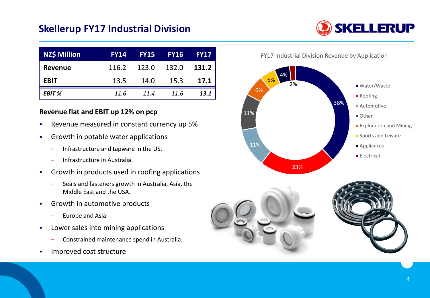### **Skellerup FY17 Industrial Division**

| <b>NZ\$ Million</b> | <b>FY14</b> |       | <b>FY15 FY16</b> | <b>FY17</b> |
|---------------------|-------------|-------|------------------|-------------|
| <b>Revenue</b>      | 116.2       | 123.0 | 132.0            | 131.2       |
| <b>EBIT</b>         | 13.5        | 14.0  | 15.3             | 17.1        |
| <b>EBIT %</b>       | 11.6        | 11.4  | 11.6             | 13.1        |

#### **Revenue flat and EBIT up 12% on pcp**

- Revenue measured in constant currency up 5%
- Growth in potable water applications
	- ‒ Infrastructure and tapware in the US.
	- ‒ Infrastructure in Australia.
- Growth in products used in roofing applications
	- ‒ Seals and fasteners growth in Australia, Asia, the Middle East and the USA.
- Growth in automotive products
	- ‒ Europe and Asia.
- Lower sales into mining applications
	- ‒ Constrained maintenance spend in Australia.
- Improved cost structure

FY17 Industrial Division Revenue by Application







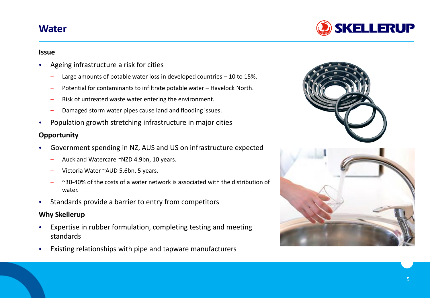### **Water**



#### **Issue**

- Ageing infrastructure a risk for cities
	- Large amounts of potable water loss in developed countries  $-10$  to 15%.
	- ‒ Potential for contaminants to infiltrate potable water Havelock North.
	- ‒ Risk of untreated waste water entering the environment.
	- Damaged storm water pipes cause land and flooding issues.
- Population growth stretching infrastructure in major cities

### **Opportunity**

- Government spending in NZ, AUS and US on infrastructure expected
	- ‒ Auckland Watercare ~NZD 4.9bn, 10 years.
	- Victoria Water ~AUD 5.6bn, 5 years.
	- $\sim$ 30-40% of the costs of a water network is associated with the distribution of water.
- Standards provide a barrier to entry from competitors

### **Why Skellerup**

- Expertise in rubber formulation, completing testing and meeting standards
- Existing relationships with pipe and tapware manufacturers



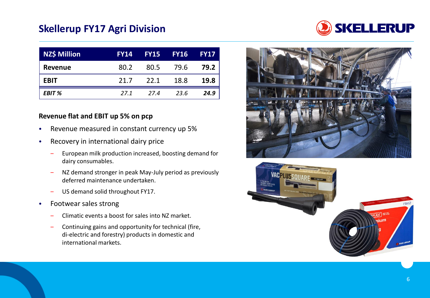# **Skellerup FY17 Agri Division**



| <b>NZ\$ Million</b> | <b>FY14</b> |      | <b>FY15 FY16</b> | <b>FY17</b> |
|---------------------|-------------|------|------------------|-------------|
| <b>Revenue</b>      | 80.2        | 80.5 | 79.6             | 79.2        |
| <b>EBIT</b>         | 21.7        | 22.1 | 18.8             | <b>19.8</b> |
| <b>EBIT %</b>       | 27.1        | 27.4 | 23.6             | 24.9        |

#### **Revenue flat and EBIT up 5% on pcp**

- Revenue measured in constant currency up 5%
- Recovery in international dairy price
	- ‒ European milk production increased, boosting demand for dairy consumables.
	- NZ demand stronger in peak May-July period as previously deferred maintenance undertaken.
	- US demand solid throughout FY17.
- Footwear sales strong
	- ‒ Climatic events a boost for sales into NZ market.
	- ‒ Continuing gains and opportunity for technical (fire, di-electric and forestry) products in domestic and international markets.



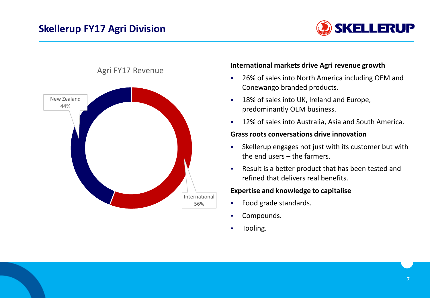# **Skellerup FY17 Agri Division**





#### Agri FY17 Revenue

#### **International markets drive Agri revenue growth**

- 26% of sales into North America including OEM and Conewango branded products.
- 18% of sales into UK, Ireland and Europe, predominantly OEM business.
- 12% of sales into Australia, Asia and South America.

#### **Grass roots conversations drive innovation**

- Skellerup engages not just with its customer but with the end users – the farmers.
- Result is a better product that has been tested and refined that delivers real benefits.

#### **Expertise and knowledge to capitalise**

- Food grade standards.
- Compounds.
- Tooling.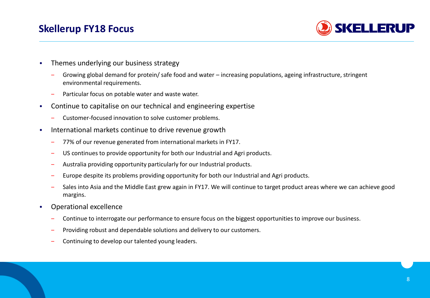### **Skellerup FY18 Focus**



- Themes underlying our business strategy
	- ‒ Growing global demand for protein/ safe food and water increasing populations, ageing infrastructure, stringent environmental requirements.
	- Particular focus on potable water and waste water.
- Continue to capitalise on our technical and engineering expertise
	- ‒ Customer-focused innovation to solve customer problems.
- International markets continue to drive revenue growth
	- ‒ 77% of our revenue generated from international markets in FY17.
	- ‒ US continues to provide opportunity for both our Industrial and Agri products.
	- ‒ Australia providing opportunity particularly for our Industrial products.
	- ‒ Europe despite its problems providing opportunity for both our Industrial and Agri products.
	- Sales into Asia and the Middle East grew again in FY17. We will continue to target product areas where we can achieve good margins.
- Operational excellence
	- ‒ Continue to interrogate our performance to ensure focus on the biggest opportunities to improve our business.
	- ‒ Providing robust and dependable solutions and delivery to our customers.
	- Continuing to develop our talented young leaders.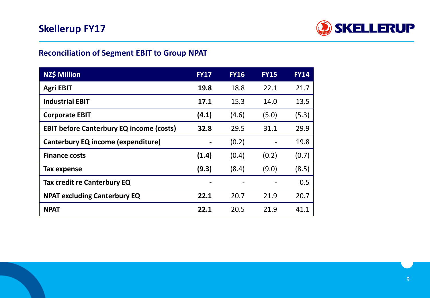

### **Reconciliation of Segment EBIT to Group NPAT**

| <b>NZ\$ Million</b>                             | <b>FY17</b>    | <b>FY16</b> | <b>FY15</b>              | <b>FY14</b> |
|-------------------------------------------------|----------------|-------------|--------------------------|-------------|
| <b>Agri EBIT</b>                                | 19.8           | 18.8        | 22.1                     | 21.7        |
| <b>Industrial EBIT</b>                          | 17.1           | 15.3        | 14.0                     | 13.5        |
| <b>Corporate EBIT</b>                           | (4.1)          | (4.6)       | (5.0)                    | (5.3)       |
| <b>EBIT before Canterbury EQ income (costs)</b> | 32.8           | 29.5        | 31.1                     | 29.9        |
| <b>Canterbury EQ income (expenditure)</b>       | $\blacksquare$ | (0.2)       | $\overline{\phantom{a}}$ | 19.8        |
| <b>Finance costs</b>                            | (1.4)          | (0.4)       | (0.2)                    | (0.7)       |
| Tax expense                                     | (9.3)          | (8.4)       | (9.0)                    | (8.5)       |
| Tax credit re Canterbury EQ                     |                |             |                          | 0.5         |
| <b>NPAT excluding Canterbury EQ</b>             | 22.1           | 20.7        | 21.9                     | 20.7        |
| <b>NPAT</b>                                     | 22.1           | 20.5        | 21.9                     | 41.1        |